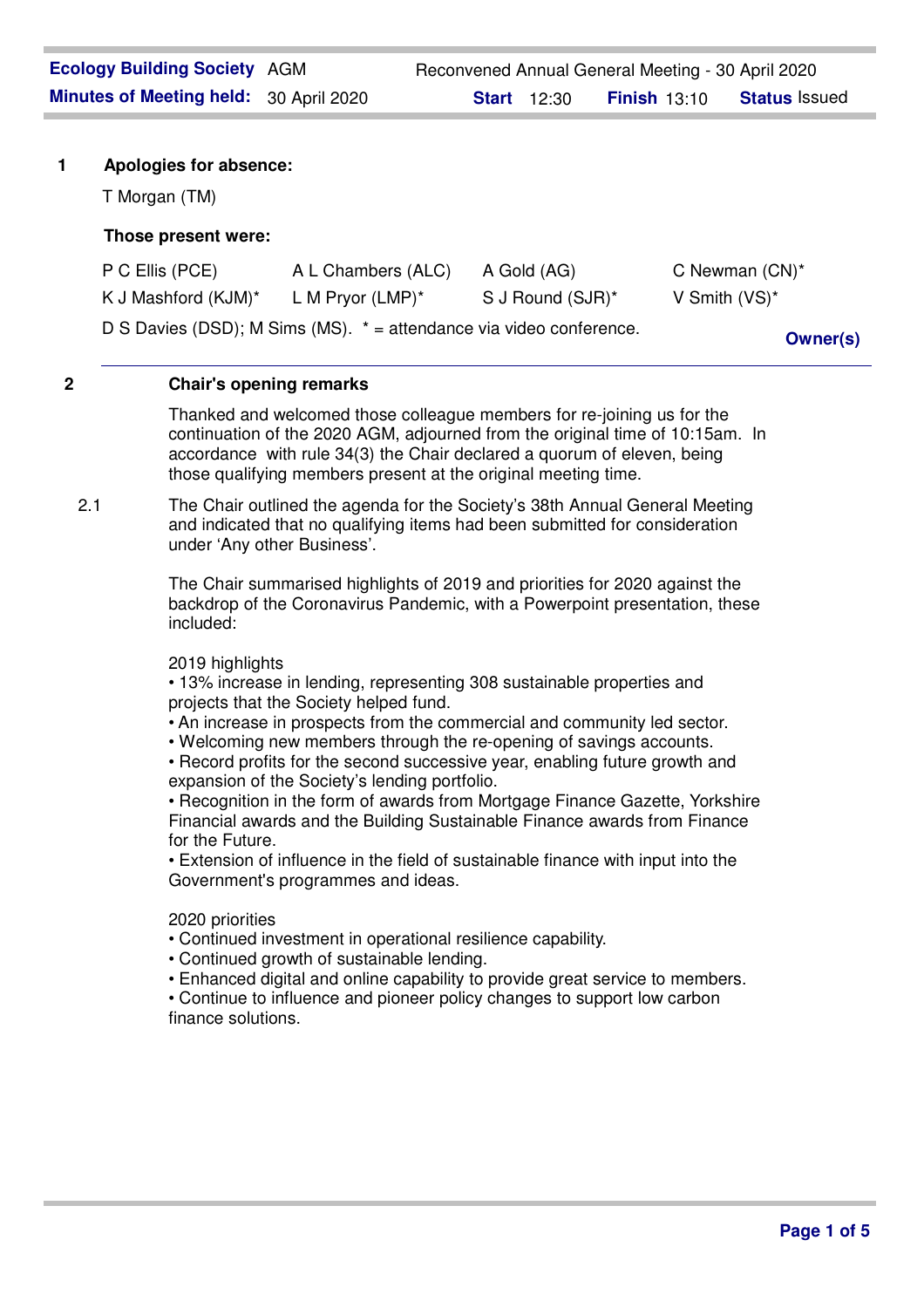# **Those present were:**

| P C Ellis (PCE)                                                     | A L Chambers (ALC)  | A Gold (AG)      | C Newman $(CN)^*$ |
|---------------------------------------------------------------------|---------------------|------------------|-------------------|
| K J Mashford (KJM)*                                                 | L M Pryor $(LMP)^*$ | S J Round (SJR)* | V Smith $(VS)^*$  |
| D S Davies (DSD); M Sims (MS). * = attendance via video conference. |                     |                  | <b>Owner(s)</b>   |

# **2 Chair's opening remarks**

Thanked and welcomed those colleague members for re-joining us for the continuation of the 2020 AGM, adjourned from the original time of 10:15am. In accordance with rule 34(3) the Chair declared a quorum of eleven, being those qualifying members present at the original meeting time.

2.1 The Chair outlined the agenda for the Society's 38th Annual General Meeting and indicated that no qualifying items had been submitted for consideration under 'Any other Business'.

> The Chair summarised highlights of 2019 and priorities for 2020 against the backdrop of the Coronavirus Pandemic, with a Powerpoint presentation, these included:

# 2019 highlights

• 13% increase in lending, representing 308 sustainable properties and projects that the Society helped fund.

- An increase in prospects from the commercial and community led sector.
- Welcoming new members through the re-opening of savings accounts.

• Record profits for the second successive year, enabling future growth and expansion of the Society's lending portfolio.

• Recognition in the form of awards from Mortgage Finance Gazette, Yorkshire Financial awards and the Building Sustainable Finance awards from Finance for the Future.

• Extension of influence in the field of sustainable finance with input into the Government's programmes and ideas.

## 2020 priorities

- Continued investment in operational resilience capability.
- Continued growth of sustainable lending.
- Enhanced digital and online capability to provide great service to members.

• Continue to influence and pioneer policy changes to support low carbon finance solutions.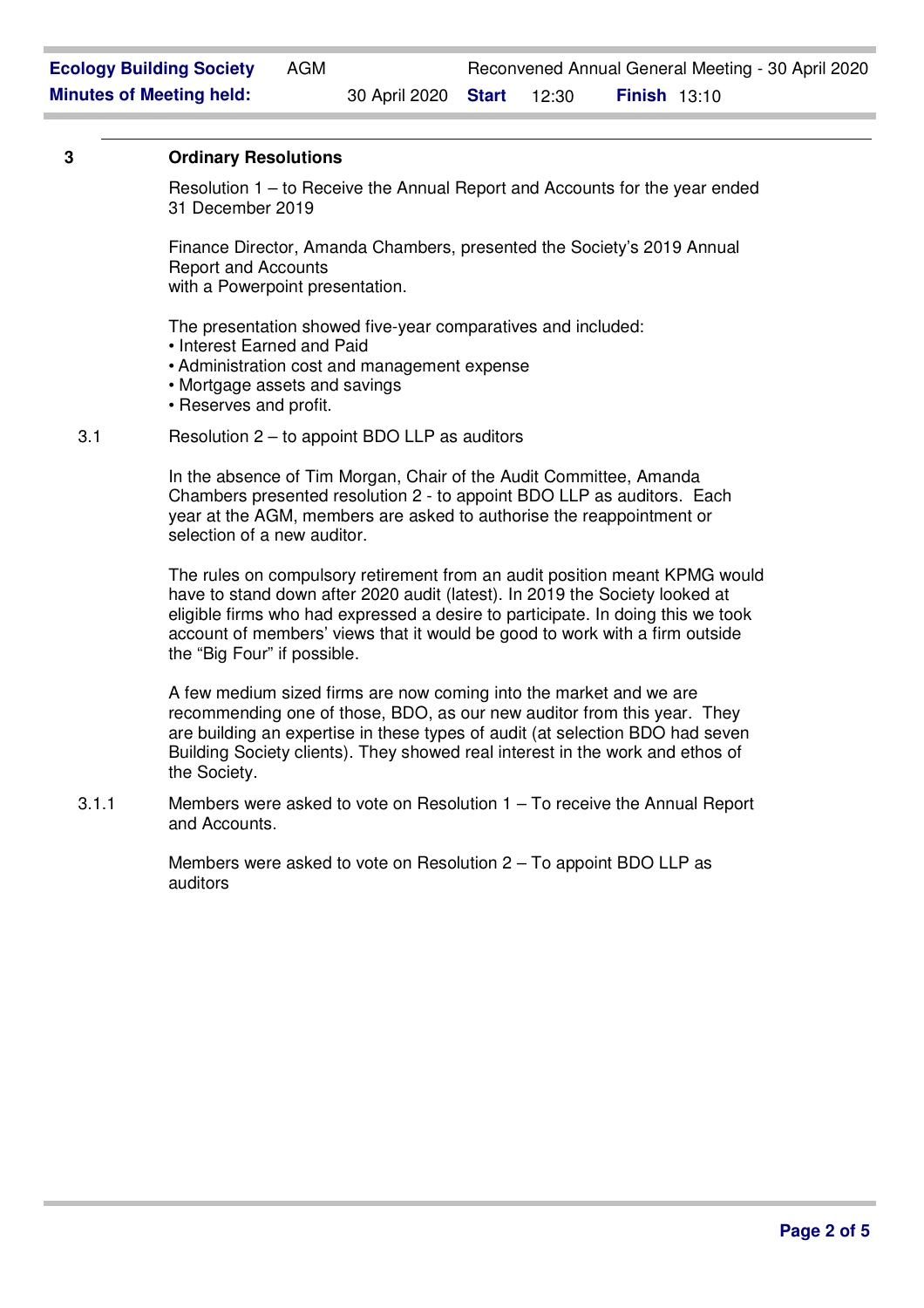## **3 Ordinary Resolutions**

Resolution 1 – to Receive the Annual Report and Accounts for the year ended 31 December 2019

Finance Director, Amanda Chambers, presented the Society's 2019 Annual Report and Accounts

with a Powerpoint presentation.

The presentation showed five-year comparatives and included:

- Interest Earned and Paid
- Administration cost and management expense
- Mortgage assets and savings
- Reserves and profit.

#### 3.1 Resolution 2 – to appoint BDO LLP as auditors

In the absence of Tim Morgan, Chair of the Audit Committee, Amanda Chambers presented resolution 2 - to appoint BDO LLP as auditors. Each year at the AGM, members are asked to authorise the reappointment or selection of a new auditor.

The rules on compulsory retirement from an audit position meant KPMG would have to stand down after 2020 audit (latest). In 2019 the Society looked at eligible firms who had expressed a desire to participate. In doing this we took account of members' views that it would be good to work with a firm outside the "Big Four" if possible.

A few medium sized firms are now coming into the market and we are recommending one of those, BDO, as our new auditor from this year. They are building an expertise in these types of audit (at selection BDO had seven Building Society clients). They showed real interest in the work and ethos of the Society.

3.1.1 Members were asked to vote on Resolution 1 – To receive the Annual Report and Accounts.

> Members were asked to vote on Resolution 2 – To appoint BDO LLP as auditors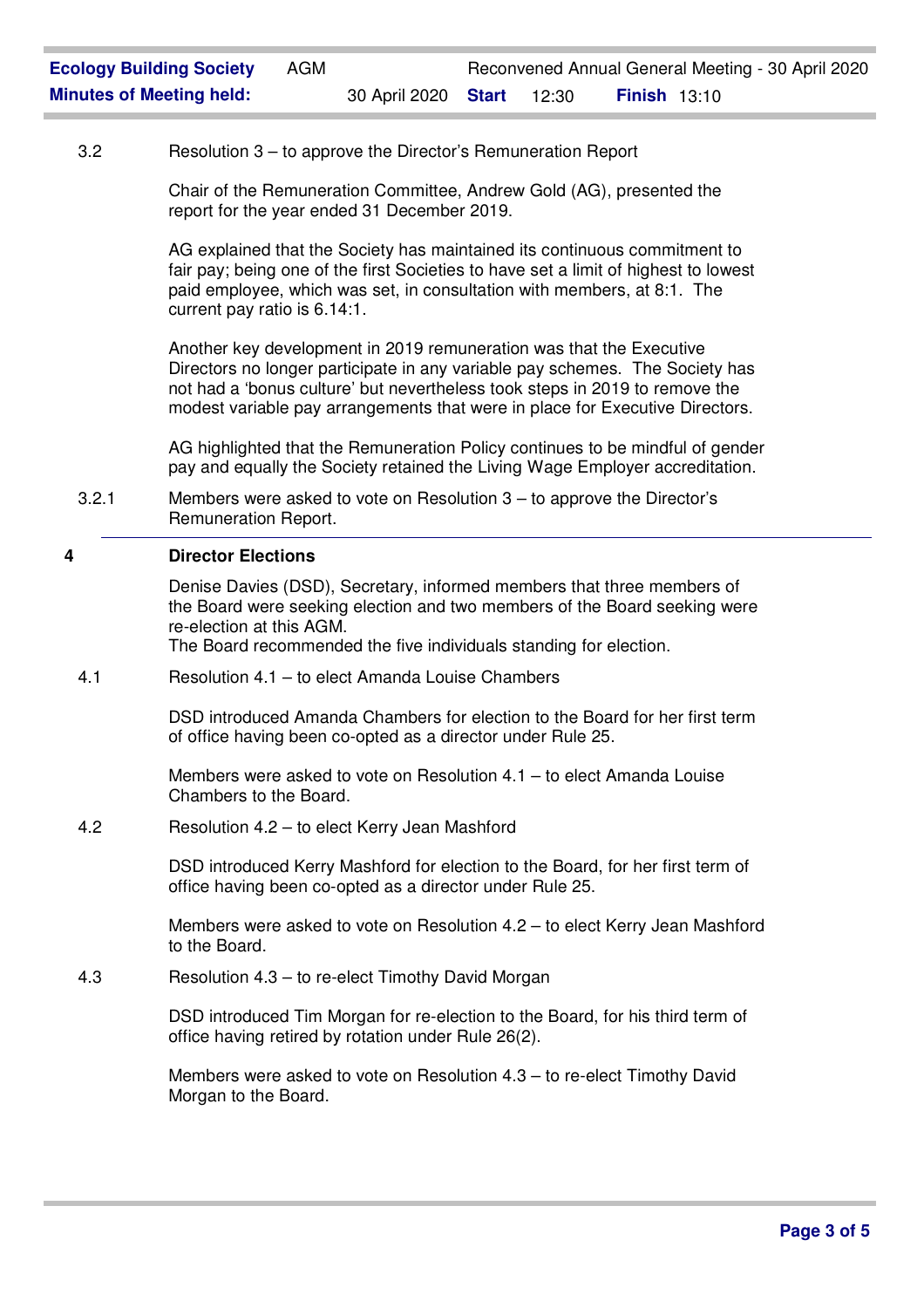# 3.2 Resolution 3 – to approve the Director's Remuneration Report

Chair of the Remuneration Committee, Andrew Gold (AG), presented the report for the year ended 31 December 2019.

AG explained that the Society has maintained its continuous commitment to fair pay; being one of the first Societies to have set a limit of highest to lowest paid employee, which was set, in consultation with members, at 8:1. The current pay ratio is 6.14:1.

Another key development in 2019 remuneration was that the Executive Directors no longer participate in any variable pay schemes. The Society has not had a 'bonus culture' but nevertheless took steps in 2019 to remove the modest variable pay arrangements that were in place for Executive Directors.

AG highlighted that the Remuneration Policy continues to be mindful of gender pay and equally the Society retained the Living Wage Employer accreditation.

3.2.1 Members were asked to vote on Resolution 3 – to approve the Director's Remuneration Report.

# **4 Director Elections**

Denise Davies (DSD), Secretary, informed members that three members of the Board were seeking election and two members of the Board seeking were re-election at this AGM.

The Board recommended the five individuals standing for election.

4.1 Resolution 4.1 – to elect Amanda Louise Chambers

DSD introduced Amanda Chambers for election to the Board for her first term of office having been co-opted as a director under Rule 25.

Members were asked to vote on Resolution 4.1 – to elect Amanda Louise Chambers to the Board.

4.2 Resolution 4.2 – to elect Kerry Jean Mashford

DSD introduced Kerry Mashford for election to the Board, for her first term of office having been co-opted as a director under Rule 25.

Members were asked to vote on Resolution 4.2 – to elect Kerry Jean Mashford to the Board.

4.3 Resolution 4.3 – to re-elect Timothy David Morgan

DSD introduced Tim Morgan for re-election to the Board, for his third term of office having retired by rotation under Rule 26(2).

Members were asked to vote on Resolution 4.3 – to re-elect Timothy David Morgan to the Board.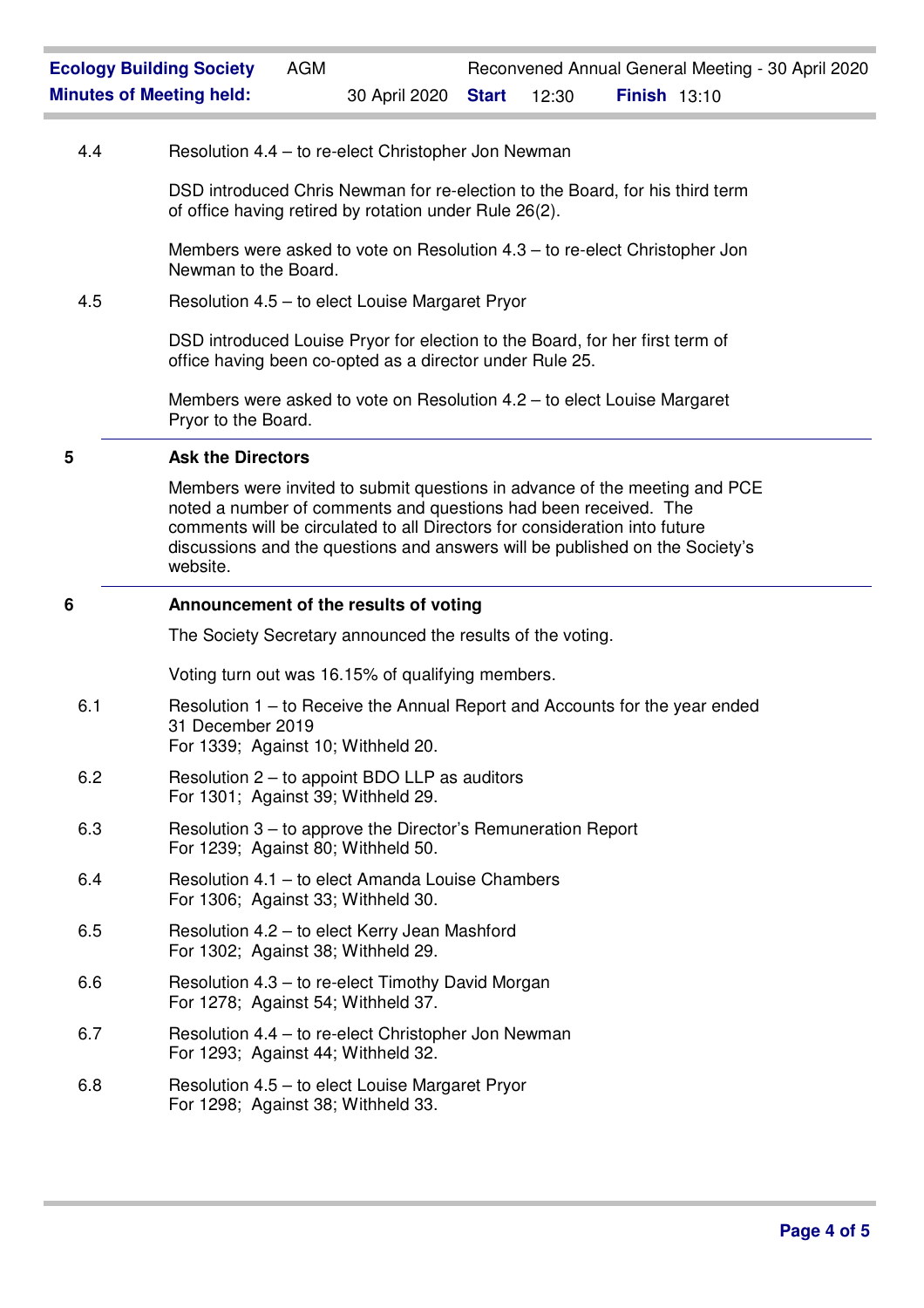# 4.4 Resolution 4.4 – to re-elect Christopher Jon Newman

DSD introduced Chris Newman for re-election to the Board, for his third term of office having retired by rotation under Rule 26(2).

Members were asked to vote on Resolution 4.3 – to re-elect Christopher Jon Newman to the Board.

## 4.5 Resolution 4.5 – to elect Louise Margaret Pryor

DSD introduced Louise Pryor for election to the Board, for her first term of office having been co-opted as a director under Rule 25.

Members were asked to vote on Resolution 4.2 – to elect Louise Margaret Pryor to the Board.

#### **5 Ask the Directors**

Members were invited to submit questions in advance of the meeting and PCE noted a number of comments and questions had been received. The comments will be circulated to all Directors for consideration into future discussions and the questions and answers will be published on the Society's website.

# **6 Announcement of the results of voting**

The Society Secretary announced the results of the voting.

Voting turn out was 16.15% of qualifying members.

- 6.1 Resolution 1 to Receive the Annual Report and Accounts for the year ended 31 December 2019 For 1339; Against 10; Withheld 20.
- 6.2 Resolution 2 to appoint BDO LLP as auditors For 1301; Against 39; Withheld 29.
- 6.3 Resolution 3 to approve the Director's Remuneration Report For 1239; Against 80; Withheld 50.
- 6.4 Resolution 4.1 to elect Amanda Louise Chambers For 1306; Against 33; Withheld 30.
- 6.5 Resolution 4.2 to elect Kerry Jean Mashford For 1302; Against 38; Withheld 29.
- 6.6 Resolution 4.3 to re-elect Timothy David Morgan For 1278; Against 54; Withheld 37.
- 6.7 Resolution 4.4 to re-elect Christopher Jon Newman For 1293; Against 44; Withheld 32.
- 6.8 Resolution 4.5 to elect Louise Margaret Pryor For 1298; Against 38; Withheld 33.